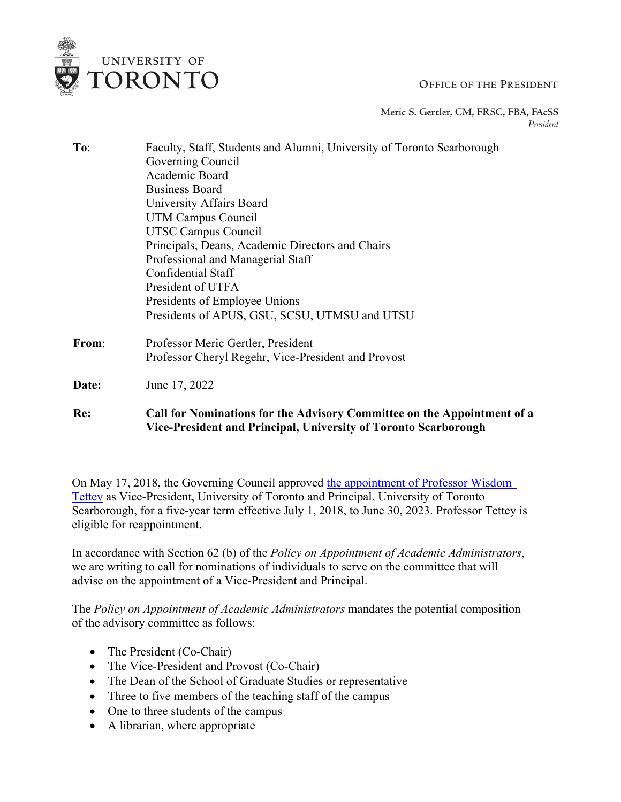## **OFFICE OF THE PRESIDENT**

Meric S. Gertler, CM, FRSC, FBA, FAcSS President

| To:   | Faculty, Staff, Students and Alumni, University of Toronto Scarborough                                                                     |
|-------|--------------------------------------------------------------------------------------------------------------------------------------------|
|       | Governing Council                                                                                                                          |
|       | Academic Board                                                                                                                             |
|       | <b>Business Board</b>                                                                                                                      |
|       | University Affairs Board                                                                                                                   |
|       | UTM Campus Council                                                                                                                         |
|       | <b>UTSC Campus Council</b>                                                                                                                 |
|       | Principals, Deans, Academic Directors and Chairs                                                                                           |
|       | Professional and Managerial Staff                                                                                                          |
|       | Confidential Staff                                                                                                                         |
|       | President of UTFA                                                                                                                          |
|       | Presidents of Employee Unions                                                                                                              |
|       | Presidents of APUS, GSU, SCSU, UTMSU and UTSU                                                                                              |
| From: | Professor Meric Gertler, President                                                                                                         |
|       | Professor Cheryl Regehr, Vice-President and Provost                                                                                        |
| Date: | June 17, 2022                                                                                                                              |
| Re:   | Call for Nominations for the Advisory Committee on the Appointment of a<br>Vice-President and Principal, University of Toronto Scarborough |

On May 17, 2018, the Governing Council approved [the appointment of Professor Wisdom](https://governingcouncil.utoronto.ca/system/files/2019-06/x0518-2017-2018-Tettey_VPP-UTSC.pdf)  [Tettey](https://governingcouncil.utoronto.ca/system/files/2019-06/x0518-2017-2018-Tettey_VPP-UTSC.pdf) as Vice-President, University of Toronto and Principal, University of Toronto Scarborough, for a five-year term effective July 1, 2018, to June 30, 2023. Professor Tettey is eligible for reappointment.

In accordance with Section 62 (b) of the *Policy on Appointment of Academic Administrators*, we are writing to call for nominations of individuals to serve on the committee that will advise on the appointment of a Vice-President and Principal.

The *Policy on Appointment of Academic Administrators* mandates the potential composition of the advisory committee as follows:

• The President (Co-Chair)

UNIVERSITY OF TORONTO

- The Vice-President and Provost (Co-Chair)
- The Dean of the School of Graduate Studies or representative
- Three to five members of the teaching staff of the campus
- One to three students of the campus
- A librarian, where appropriate